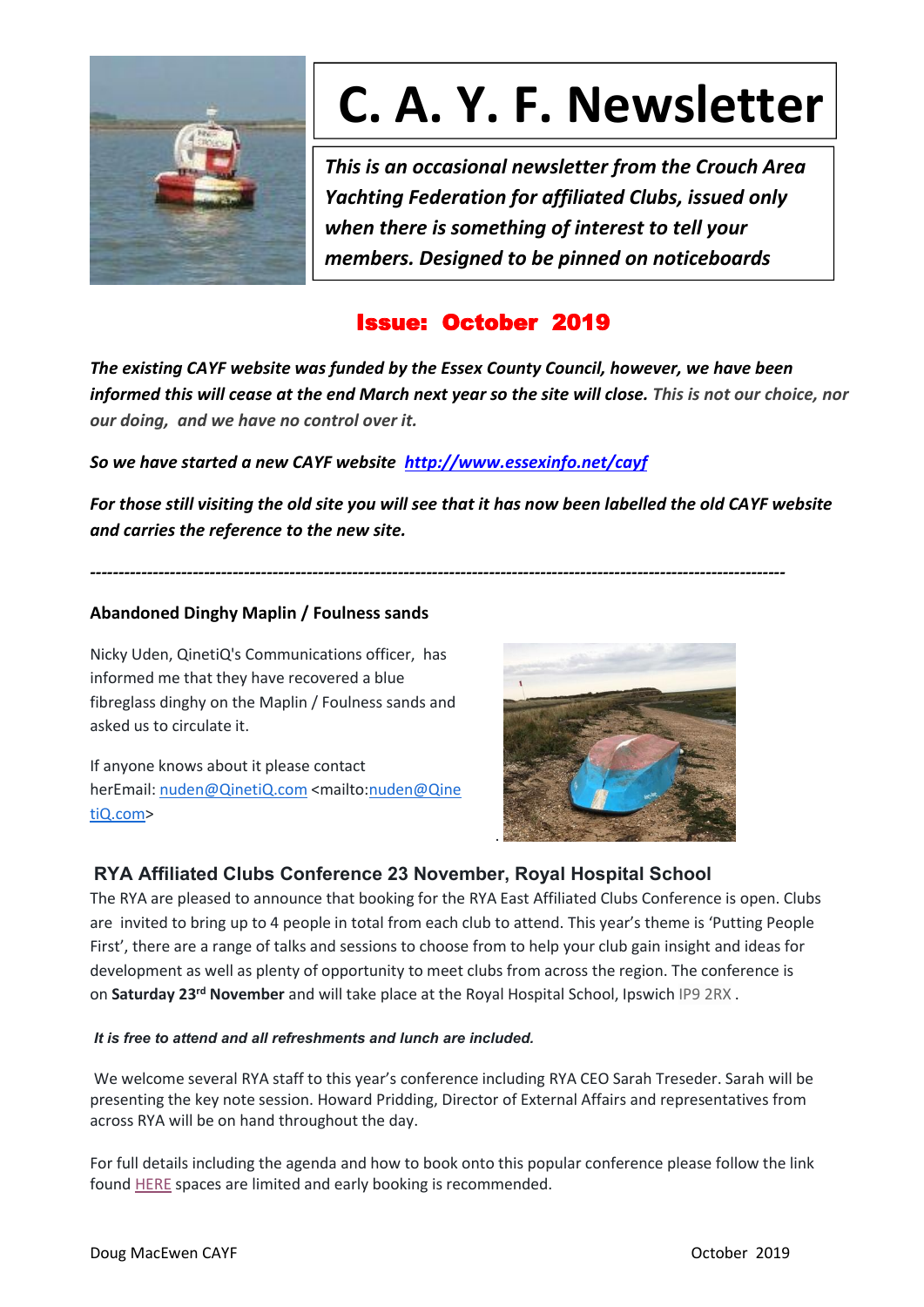

# **C. A. Y. F. Newsletter**

*This is an occasional newsletter from the Crouch Area Yachting Federation for affiliated Clubs, issued only when there is something of interest to tell your members. Designed to be pinned on noticeboards*

## Issue: October 2019

*The existing CAYF website was funded by the Essex County Council, however, we have been* informed this will cease at the end March next year so the site will close. This is not our choice, nor *our doing, and we have no control over it.*

*So we have started a new CAYF website <http://www.essexinfo.net/cayf>*

For those still visiting the old site you will see that it has now been labelled the old CAYF website *and carries the reference to the new site.*

*--------------------------------------------------------------------------------------------------------------------------*

## **Abandoned Dinghy Maplin / Foulness sands**

Nicky Uden, QinetiQ's Communications officer, has informed me that they have recovered a blue fibreglass dinghy on the Maplin / Foulness sands and asked us to circulate it.

If anyone knows about it please contact herEmail: [nuden@QinetiQ.com](mailto:nuden@QinetiQ.com) <mailto:[nuden@Qine](mailto:nuden@QinetiQ.com) tiQ.com>



## **RYA Affiliated Clubs Conference 23 November, Royal Hospital School**

The RYA are pleased to announce that booking for the RYA East Affiliated Clubs Conference is open. Clubs are invited to bring up to 4 people in total from each club to attend. This year's theme is 'Putting People First', there are a range of talks and sessions to choose from to help your club gain insight and ideas for development as well as plenty of opportunity to meet clubs from across the region. The conference is on Saturday 23<sup>rd</sup> November and will take place at the Royal Hospital School, Ipswich IP9 2RX .

#### *It is free to attend and all refreshments and lunch are included.*

We welcome several RYA staff to this year's conference including RYA CEO Sarah Treseder. Sarah will be presenting the key note session. Howard Pridding, Director of External Affairs and representatives from across RYA will be on hand throughout the day.

For full details including the agenda and how to book onto this popular conference please follow the link found [HERE](https://rya.eventsair.com/ea-acc-nov-19/east-acc-19/Site/Register) spaces are limited and early booking is recommended.